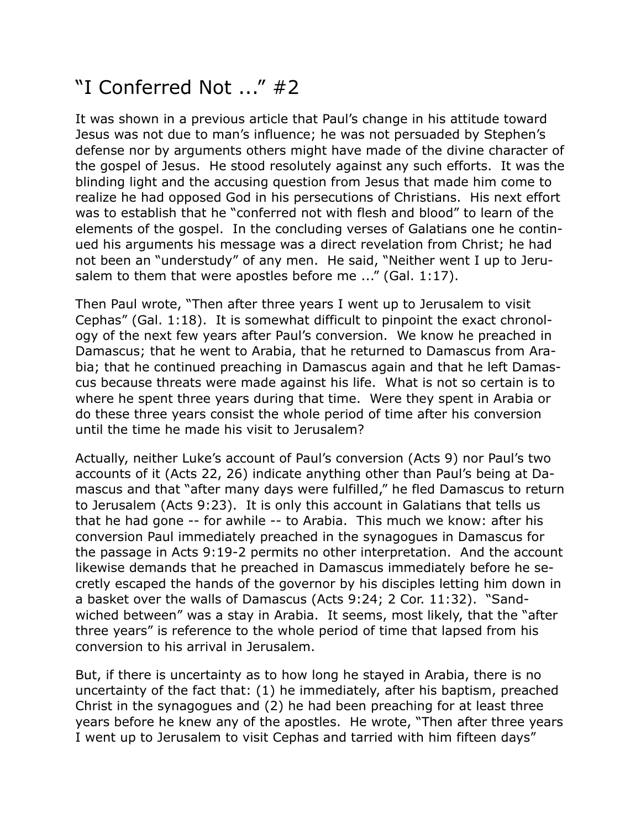## "I Conferred Not ..." #2

It was shown in a previous article that Paul's change in his attitude toward Jesus was not due to man's influence; he was not persuaded by Stephen's defense nor by arguments others might have made of the divine character of the gospel of Jesus. He stood resolutely against any such efforts. It was the blinding light and the accusing question from Jesus that made him come to realize he had opposed God in his persecutions of Christians. His next effort was to establish that he "conferred not with flesh and blood" to learn of the elements of the gospel. In the concluding verses of Galatians one he continued his arguments his message was a direct revelation from Christ; he had not been an "understudy" of any men. He said, "Neither went I up to Jerusalem to them that were apostles before me ..." (Gal. 1:17).

Then Paul wrote, "Then after three years I went up to Jerusalem to visit Cephas" (Gal. 1:18). It is somewhat difficult to pinpoint the exact chronology of the next few years after Paul's conversion. We know he preached in Damascus; that he went to Arabia, that he returned to Damascus from Arabia; that he continued preaching in Damascus again and that he left Damascus because threats were made against his life. What is not so certain is to where he spent three years during that time. Were they spent in Arabia or do these three years consist the whole period of time after his conversion until the time he made his visit to Jerusalem?

Actually, neither Luke's account of Paul's conversion (Acts 9) nor Paul's two accounts of it (Acts 22, 26) indicate anything other than Paul's being at Damascus and that "after many days were fulfilled," he fled Damascus to return to Jerusalem (Acts 9:23). It is only this account in Galatians that tells us that he had gone -- for awhile -- to Arabia. This much we know: after his conversion Paul immediately preached in the synagogues in Damascus for the passage in Acts 9:19-2 permits no other interpretation. And the account likewise demands that he preached in Damascus immediately before he secretly escaped the hands of the governor by his disciples letting him down in a basket over the walls of Damascus (Acts 9:24; 2 Cor. 11:32). "Sandwiched between" was a stay in Arabia. It seems, most likely, that the "after three years" is reference to the whole period of time that lapsed from his conversion to his arrival in Jerusalem.

But, if there is uncertainty as to how long he stayed in Arabia, there is no uncertainty of the fact that: (1) he immediately, after his baptism, preached Christ in the synagogues and (2) he had been preaching for at least three years before he knew any of the apostles. He wrote, "Then after three years I went up to Jerusalem to visit Cephas and tarried with him fifteen days"